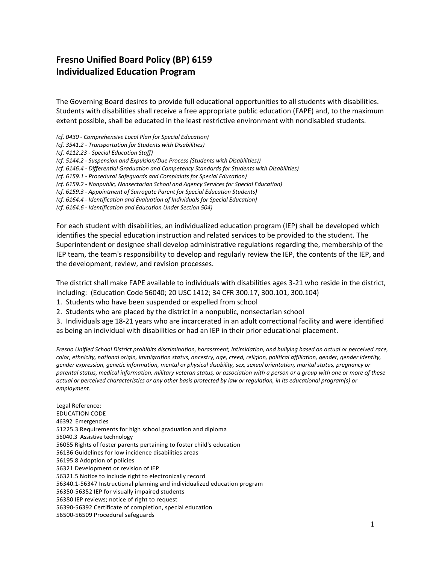## **Fresno Unified Board Policy (BP) 6159 Individualized Education Program**

The Governing Board desires to provide full educational opportunities to all students with disabilities. Students with disabilities shall receive a free appropriate public education (FAPE) and, to the maximum extent possible, shall be educated in the least restrictive environment with nondisabled students.

*(cf. 0430 - Comprehensive Local Plan for Special Education)* 

*(cf. 3541.2 - Transportation for Students with Disabilities)* 

*(cf. 4112.23 - Special Education Staff)*

*(cf. 5144.2 - Suspension and Expulsion/Due Process (Students with Disabilities))*

*(cf. 6146.4 - Differential Graduation and Competency Standards for Students with Disabilities)* 

*(cf. 6159.1 - Procedural Safeguards and Complaints for Special Education)*

*(cf. 6159.2 - Nonpublic, Nonsectarian School and Agency Services for Special Education)* 

*(cf. 6159.3 - Appointment of Surrogate Parent for Special Education Students)*

*(cf. 6164.4 - Identification and Evaluation of Individuals for Special Education)* 

*(cf. 6164.6 - Identification and Education Under Section 504)*

For each student with disabilities, an individualized education program (IEP) shall be developed which identifies the special education instruction and related services to be provided to the student. The Superintendent or designee shall develop administrative regulations regarding the, membership of the IEP team, the team's responsibility to develop and regularly review the IEP, the contents of the IEP, and the development, review, and revision processes.

The district shall make FAPE available to individuals with disabilities ages 3-21 who reside in the district, including: (Education Code 56040; 20 USC 1412; 34 CFR 300.17, 300.101, 300.104)

1. Students who have been suspended or expelled from school

2. Students who are placed by the district in a nonpublic, nonsectarian school

3. Individuals age 18-21 years who are incarcerated in an adult correctional facility and were identified as being an individual with disabilities or had an IEP in their prior educational placement.

*Fresno Unified School District prohibits discrimination, harassment, intimidation, and bullying based on actual or perceived race, color, ethnicity, national origin, immigration status, ancestry, age, creed, religion, political affiliation, gender, gender identity, gender expression, genetic information, mental or physical disability, sex, sexual orientation, marital status, pregnancy or parental status, medical information, military veteran status, or association with a person or a group with one or more of these actual or perceived characteristics or any other basis protected by law or regulation, in its educational program(s) or employment.*

Legal Reference: EDUCATION CODE 46392 Emergencies 51225.3 Requirements for high school graduation and diploma 56040.3 Assistive technology 56055 Rights of foster parents pertaining to foster child's education 56136 Guidelines for low incidence disabilities areas 56195.8 Adoption of policies 56321 Development or revision of IEP 56321.5 Notice to include right to electronically record 56340.1-56347 Instructional planning and individualized education program 56350-56352 IEP for visually impaired students 56380 IEP reviews; notice of right to request 56390-56392 Certificate of completion, special education 56500-56509 Procedural safeguards